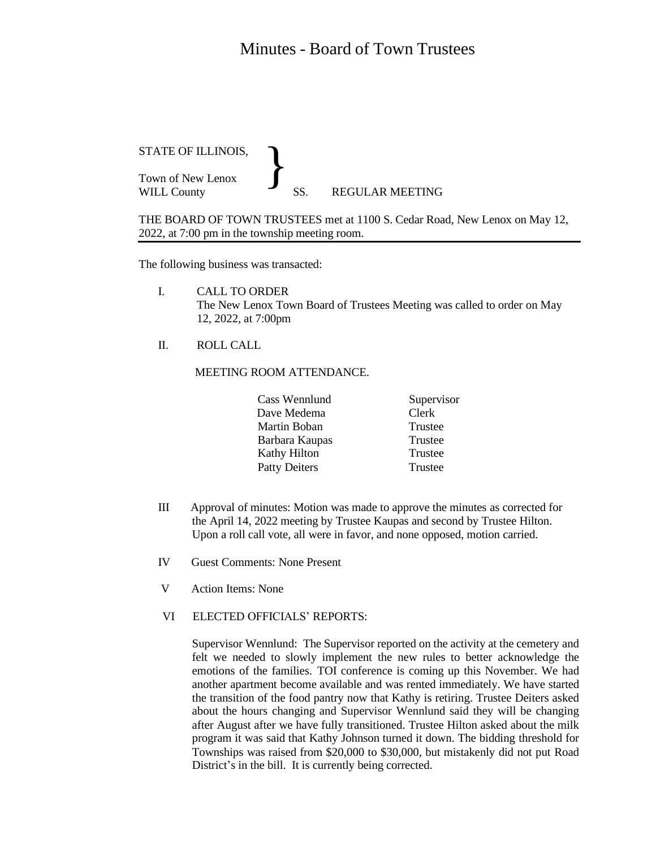## Minutes - Board of Town Trustees

| STATE OF ILLINOIS. |  |                 |
|--------------------|--|-----------------|
| Town of New Lenox  |  |                 |
| <b>WILL County</b> |  | REGULAR MEETING |

THE BOARD OF TOWN TRUSTEES met at 1100 S. Cedar Road, New Lenox on May 12, 2022, at 7:00 pm in the township meeting room.

The following business was transacted:

- I. CALL TO ORDER The New Lenox Town Board of Trustees Meeting was called to order on May 12, 2022, at 7:00pm
- II. ROLL CALL

## MEETING ROOM ATTENDANCE.

| Supervisor |
|------------|
| Clerk      |
| Trustee    |
| Trustee    |
| Trustee    |
| Trustee    |
|            |

- III Approval of minutes: Motion was made to approve the minutes as corrected for the April 14, 2022 meeting by Trustee Kaupas and second by Trustee Hilton. Upon a roll call vote, all were in favor, and none opposed, motion carried.
- IV Guest Comments: None Present
- V Action Items: None
- VI ELECTED OFFICIALS' REPORTS:

Supervisor Wennlund: The Supervisor reported on the activity at the cemetery and felt we needed to slowly implement the new rules to better acknowledge the emotions of the families. TOI conference is coming up this November. We had another apartment become available and was rented immediately. We have started the transition of the food pantry now that Kathy is retiring. Trustee Deiters asked about the hours changing and Supervisor Wennlund said they will be changing after August after we have fully transitioned. Trustee Hilton asked about the milk program it was said that Kathy Johnson turned it down. The bidding threshold for Townships was raised from \$20,000 to \$30,000, but mistakenly did not put Road District's in the bill. It is currently being corrected.